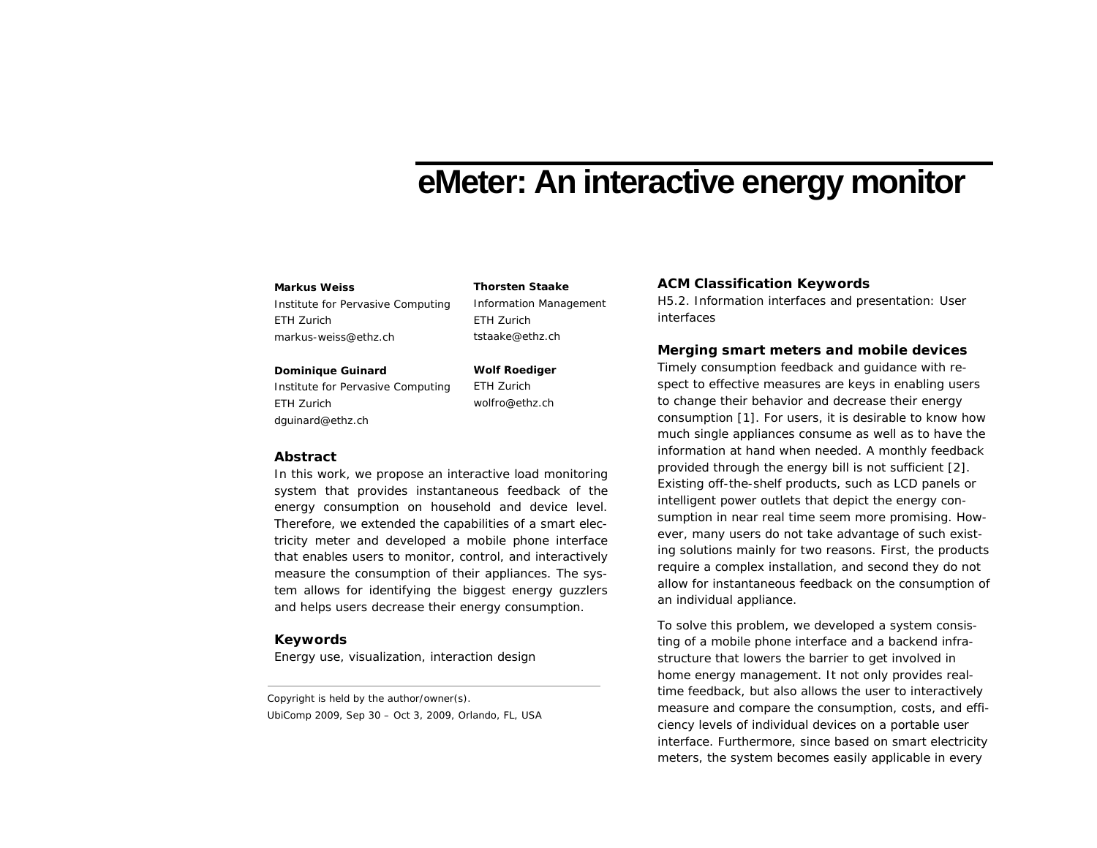# **eMeter: An interactive energy monitor**

#### **Markus Weiss**

Institute for Pervasive Computing ETH Zurich markus-weiss@ethz.ch

#### **Dominique Guinard**

Institute for Pervasive Computing ETH Zurich dguinard@ethz.ch

**Wolf Roediger**  ETH Zurich wolfro@ethz.ch

ETH Zurich tstaake@ethz.ch

Information Management

## **Abstract**

In this work, we propose an interactive load monitoring system that provides instantaneous feedback of the energy consumption on household and device level. Therefore, we extended the capabilities of a smart electricity meter and developed a mobile phone interface that enables users to monitor, control, and interactively measure the consumption of their appliances. The system allows for identifying the biggest energy guzzlers and helps users decrease their energy consumption.

# **Keywords**

Energy use, visualization, interaction design

Copyright is held by the author/owner(s). *UbiComp 2009*, Sep 30 – Oct 3, 2009, Orlando, FL, USA

### **Thorsten Staake ACM Classification Keywords**

H5.2. Information interfaces and presentation: User interfaces

# **Merging smart meters and mobile devices**

Timely consumption feedback and guidance with respect to effective measures are keys in enabling users to change their behavior and decrease their energy consumption [1]. For users, it is desirable to know how much single appliances consume as well as to have the information at hand when needed. A monthly feedback provided through the energy bill is not sufficient [2]. Existing off-the-shelf products, such as LCD panels or intelligent power outlets that depict the energy consumption in near real time seem more promising. However, many users do not take advantage of such existing solutions mainly for two reasons. First, the products require a complex installation, and second they do not allow for instantaneous feedback on the consumption of an individual appliance.

To solve this problem, we developed a system consisting of a mobile phone interface and a backend infrastructure that lowers the barrier to get involved in home energy management. It not only provides realtime feedback, but also allows the user to interactively measure and compare the consumption, costs, and efficiency levels of individual devices on a portable user interface. Furthermore, since based on smart electricity meters, the system becomes easily applicable in every